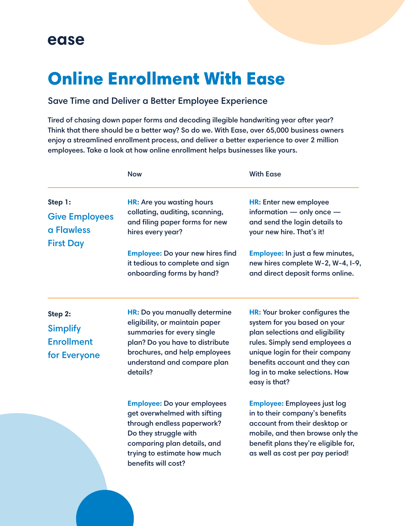## ease

## Online Enrollment With Ease

## Save Time and Deliver a Better Employee Experience

Tired of chasing down paper forms and decoding illegible handwriting year after year? Think that there should be a better way? So do we. With Ease, over 65,000 business owners enjoy a streamlined enrollment process, and deliver a better experience to over 2 million employees. Take a look at how online enrollment helps businesses like yours.

|                                                                 | <b>Now</b>                                                                                                                                                                                                     | <b>With Ease</b>                                                                                                                                                                                                                                          |
|-----------------------------------------------------------------|----------------------------------------------------------------------------------------------------------------------------------------------------------------------------------------------------------------|-----------------------------------------------------------------------------------------------------------------------------------------------------------------------------------------------------------------------------------------------------------|
| Step 1:<br><b>Give Employees</b><br>a Flawless                  | HR: Are you wasting hours<br>collating, auditing, scanning,<br>and filing paper forms for new<br>hires every year?                                                                                             | HR: Enter new employee<br>information - only once -<br>and send the login details to<br>your new hire. That's it!                                                                                                                                         |
| <b>First Day</b>                                                | <b>Employee: Do your new hires find</b><br>it tedious to complete and sign<br>onboarding forms by hand?                                                                                                        | Employee: In just a few minutes,<br>new hires complete W-2, W-4, I-9,<br>and direct deposit forms online.                                                                                                                                                 |
| Step 2:<br><b>Simplify</b><br><b>Enrollment</b><br>for Everyone | HR: Do you manually determine<br>eligibility, or maintain paper<br>summaries for every single<br>plan? Do you have to distribute<br>brochures, and help employees<br>understand and compare plan<br>details?   | HR: Your broker configures the<br>system for you based on your<br>plan selections and eligibility<br>rules. Simply send employees a<br>unique login for their company<br>benefits account and they can<br>log in to make selections. How<br>easy is that? |
|                                                                 | <b>Employee: Do your employees</b><br>get overwhelmed with sifting<br>through endless paperwork?<br>Do they struggle with<br>comparing plan details, and<br>trying to estimate how much<br>benefits will cost? | <b>Employee: Employees just log</b><br>in to their company's benefits<br>account from their desktop or<br>mobile, and then browse only the<br>benefit plans they're eligible for,<br>as well as cost per pay period!                                      |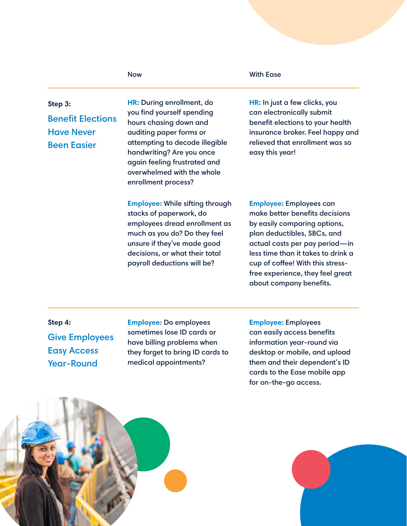| Step 3:<br><b>Benefit Elections</b><br><b>Have Never</b><br><b>Been Easier</b> | HR: During enrollment, do<br>you find yourself spending<br>hours chasing down and<br>auditing paper forms or<br>attempting to decode illegible<br>handwriting? Are you once<br>again feeling frustrated and<br>overwhelmed with the whole<br>enrollment process? | HR: In just a few clicks, you<br>can electronically submit<br>benefit elections to your health<br>insurance broker. Feel happy and<br>relieved that enrollment was so<br>easy this year!                                                                                                                   |
|--------------------------------------------------------------------------------|------------------------------------------------------------------------------------------------------------------------------------------------------------------------------------------------------------------------------------------------------------------|------------------------------------------------------------------------------------------------------------------------------------------------------------------------------------------------------------------------------------------------------------------------------------------------------------|
|                                                                                | <b>Employee: While sifting through</b><br>stacks of paperwork, do<br>employees dread enrollment as<br>much as you do? Do they feel<br>unsure if they've made good<br>decisions, or what their total<br>payroll deductions will be?                               | <b>Employee: Employees can</b><br>make better benefits decisions<br>by easily comparing options,<br>plan deductibles, SBCs, and<br>actual costs per pay period-in<br>less time than it takes to drink a<br>cup of coffee! With this stress-<br>free experience, they feel great<br>about company benefits. |

Now With Ease

**Step 4:** Give Employees Easy Access Year-Round

**Employee:** Do employees sometimes lose ID cards or have billing problems when they forget to bring ID cards to medical appointments?

**Employee:** Employees can easily access benefits information year-round via desktop or mobile, and upload them and their dependent's ID cards to the Ease mobile app for on-the-go access.